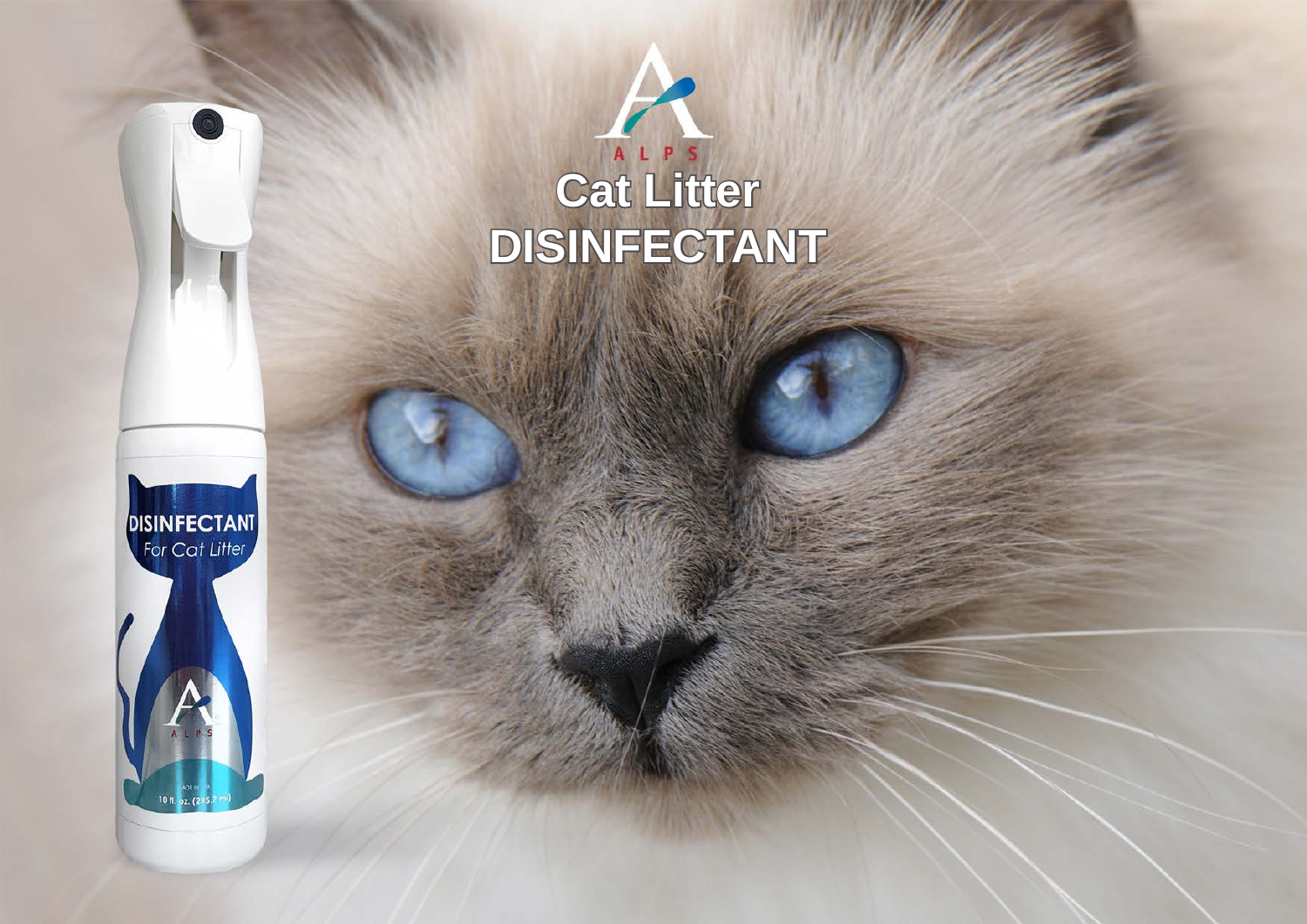

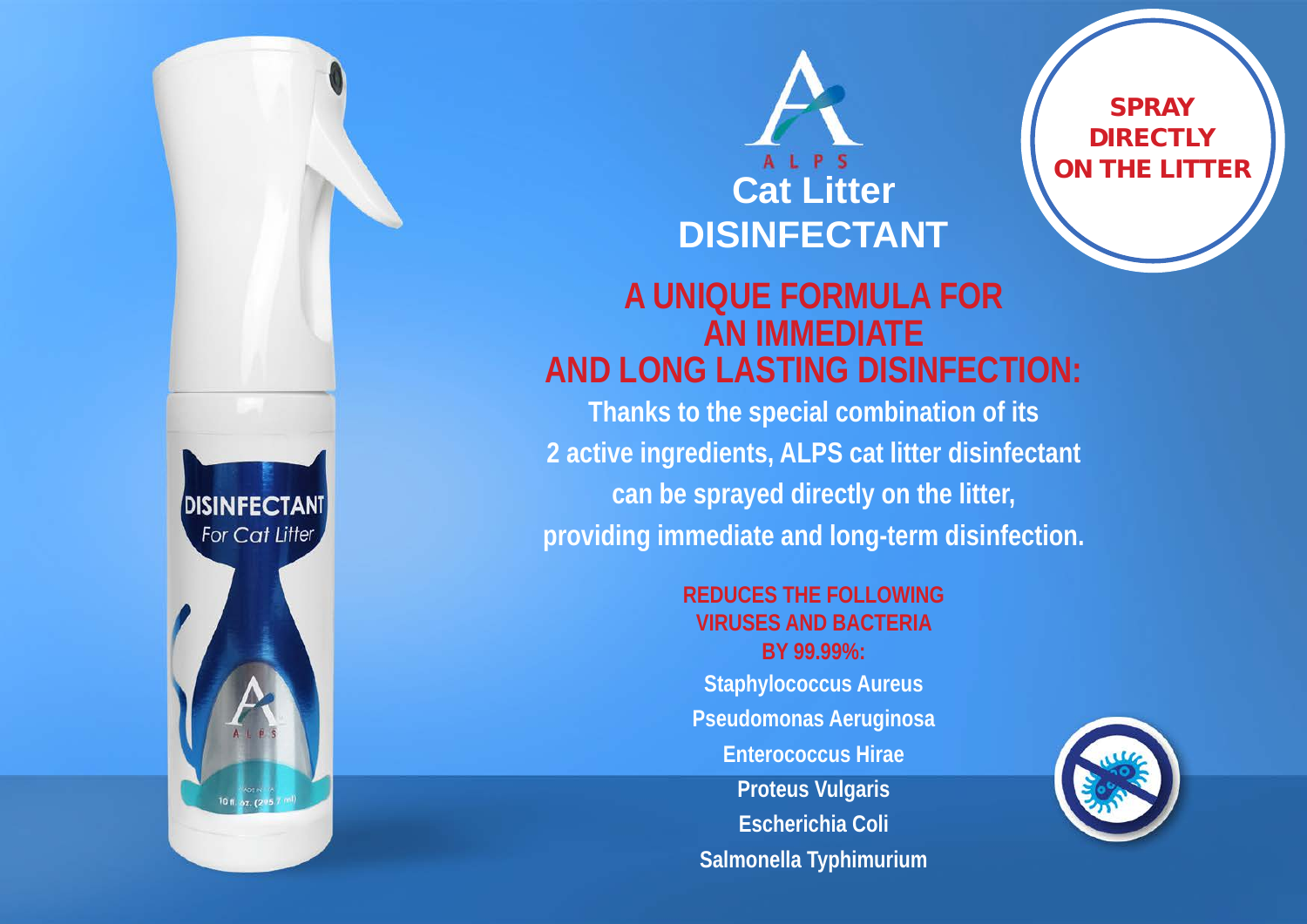



**SPRAY DIRECTLY** ON THE LITTER

#### **A UNIQUE FORMULA FOR AN IMMEDIATE AND LONG LASTING DISINFECTION:**

**Thanks to the special combination of its 2 active ingredients, ALPS cat litter disinfectant can be sprayed directly on the litter, providing immediate and long-term disinfection.**

> **REDUCES THE FOLLOWING VIRUSES AND BACTERIA BY 99.99%: Staphylococcus Aureus Pseudomonas Aeruginosa Enterococcus Hirae Proteus Vulgaris Escherichia Coli Salmonella Typhimurium**

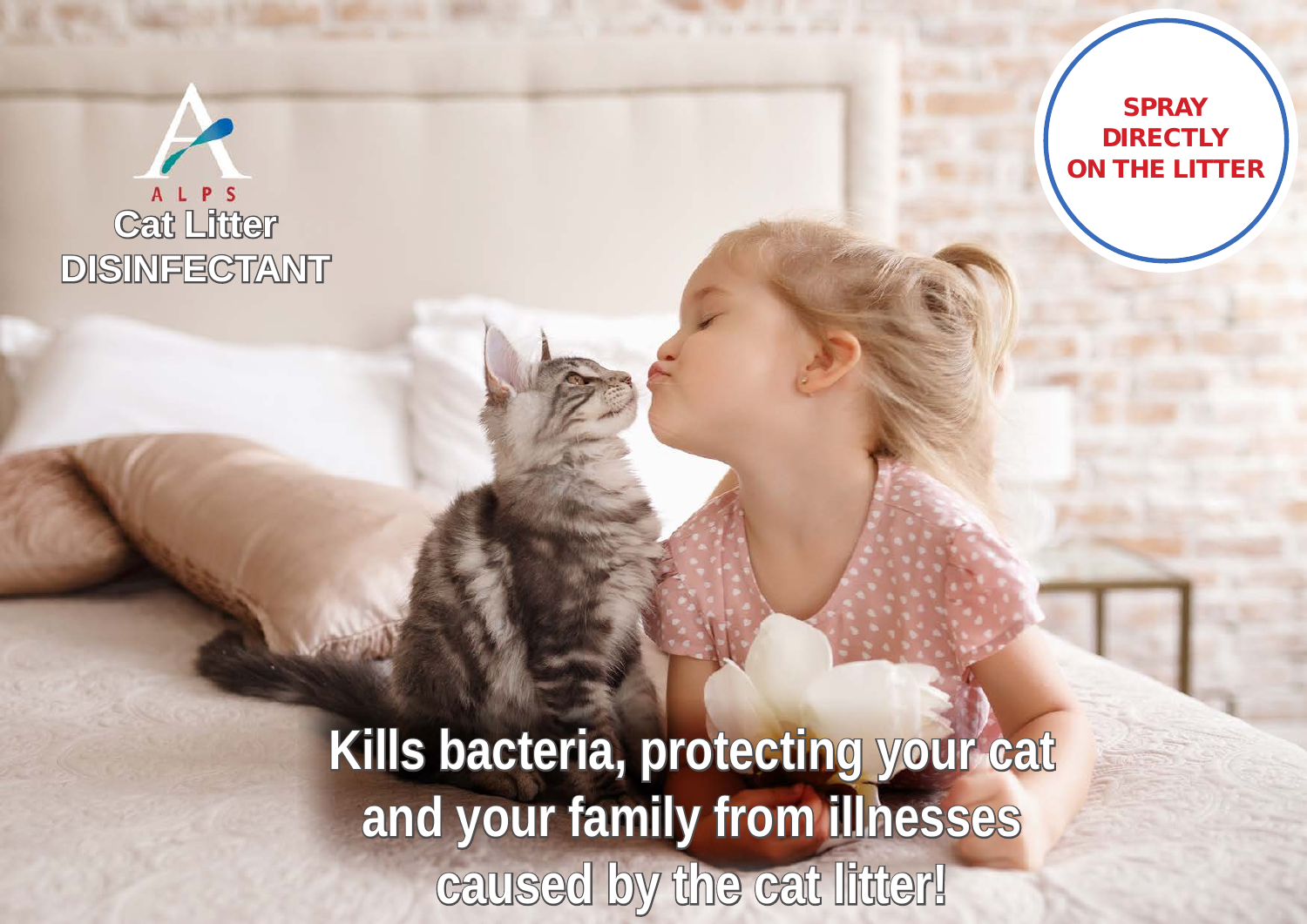## **Cat Litter DISINFECTANT**



**Kills bacteria, protecting your cat and your family from illnesses caused by the cat litter!**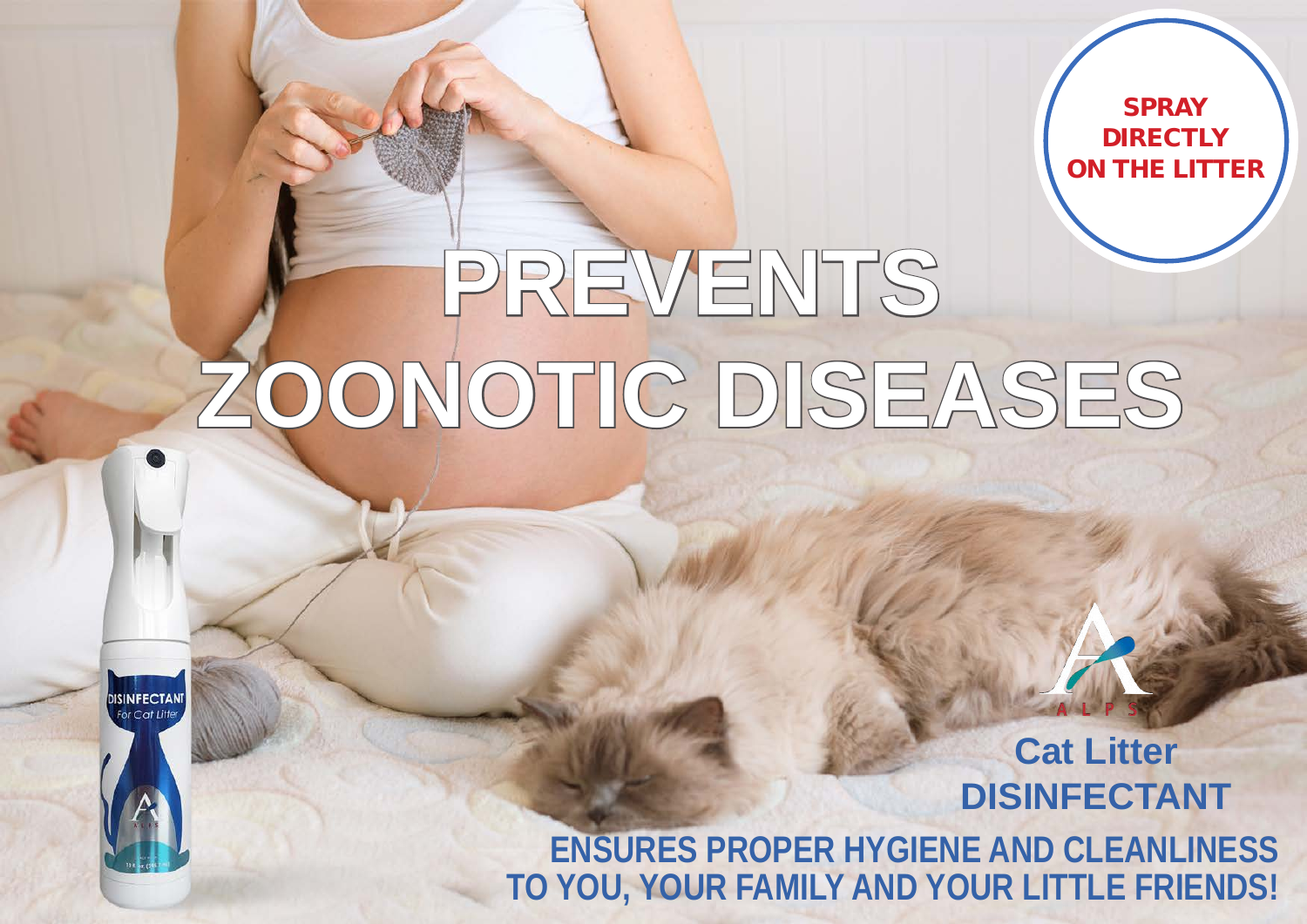**SPRAY DIRECTLY** ON THE LITTER

# **PREVENTS ZOONOTIC DISEASES**

**DISINFECTANT**<br>For Cat Litter

**Cat Litter DISINFECTANT**

**ENSURES PROPER HYGIENE AND CLEANLINESS TO YOU, YOUR FAMILY AND YOUR LITTLE FRIENDS!**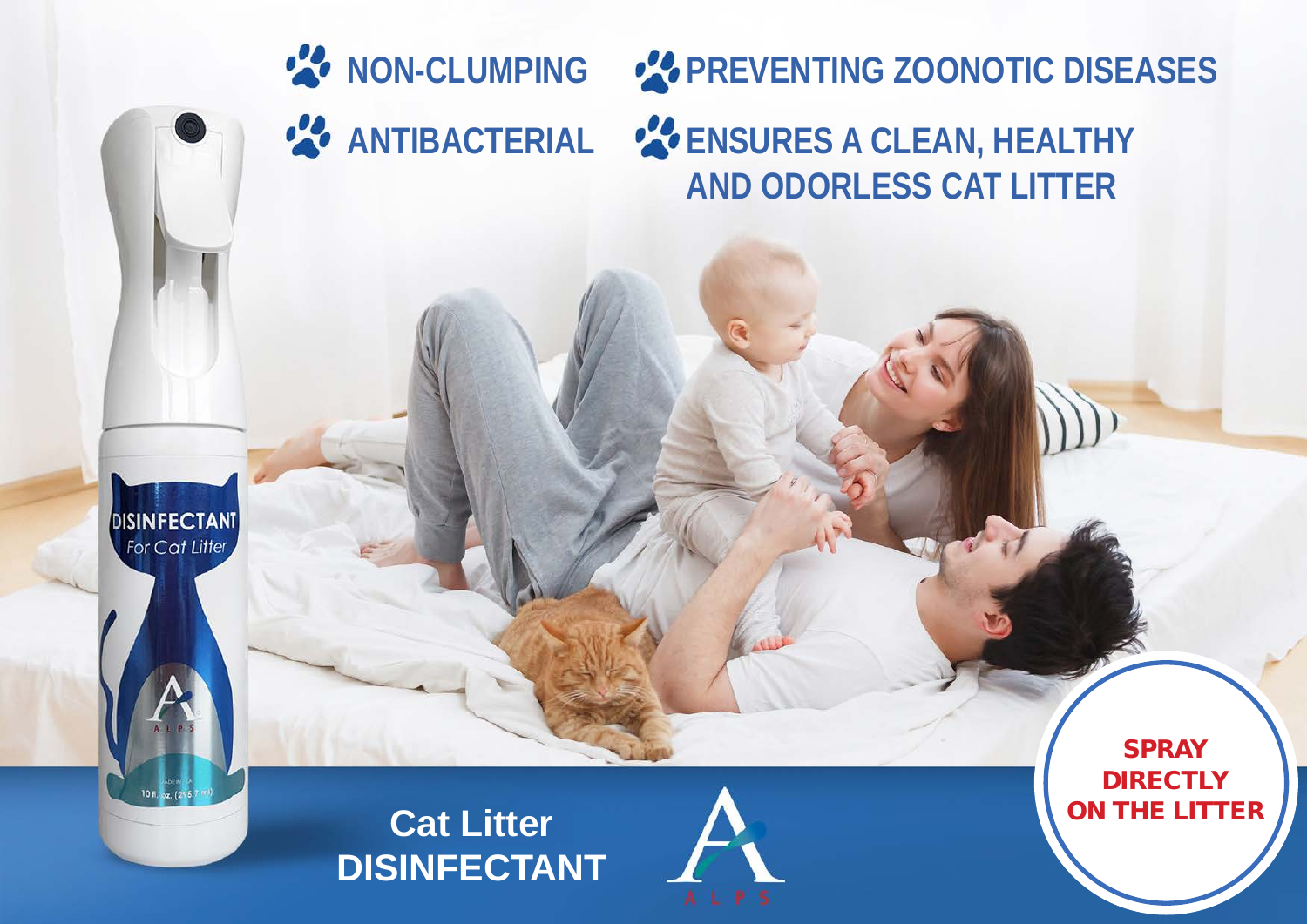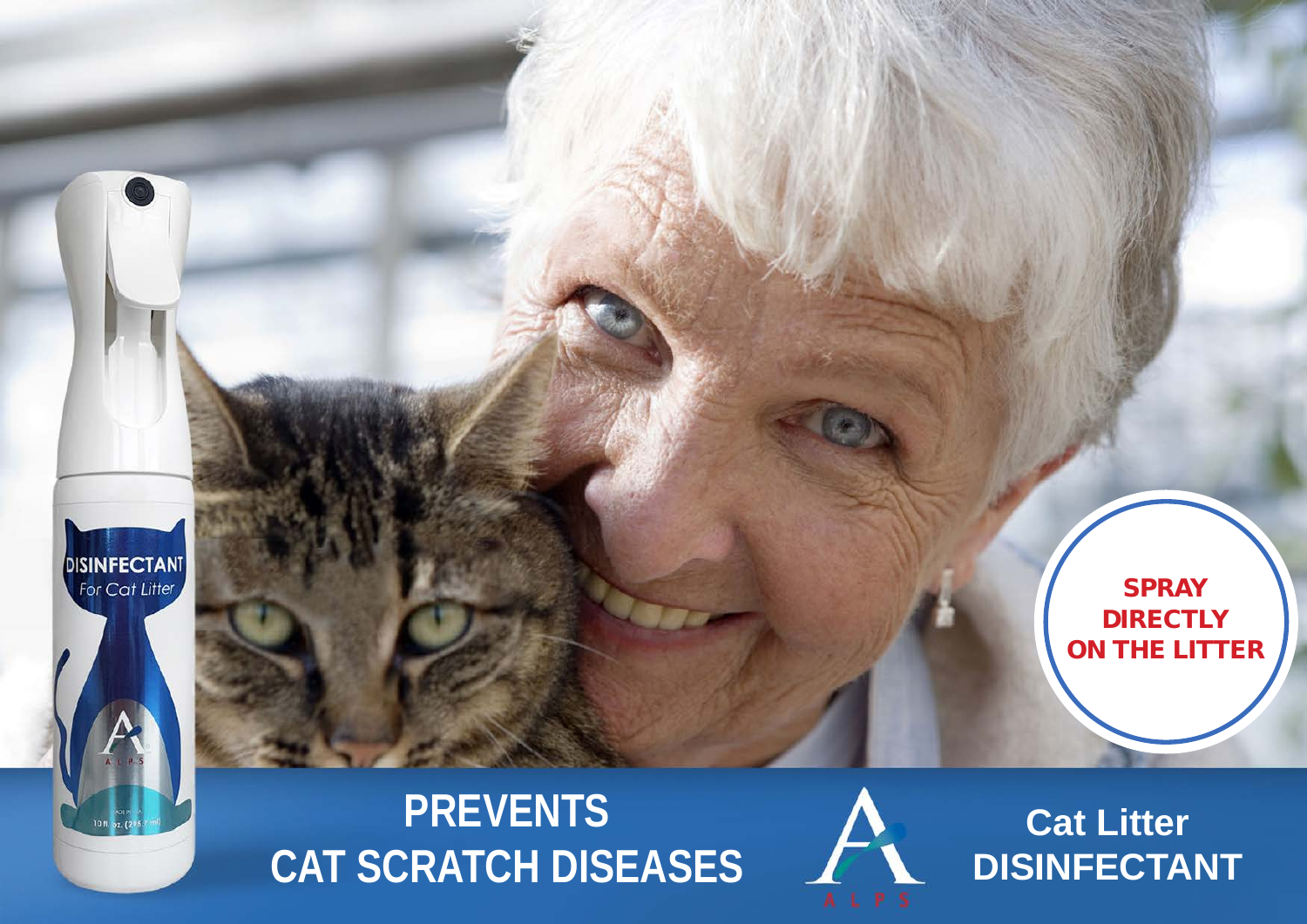

### **PREVENTS CAT SCRATCH DISEASES**



**Cat Litter DISINFECTANT**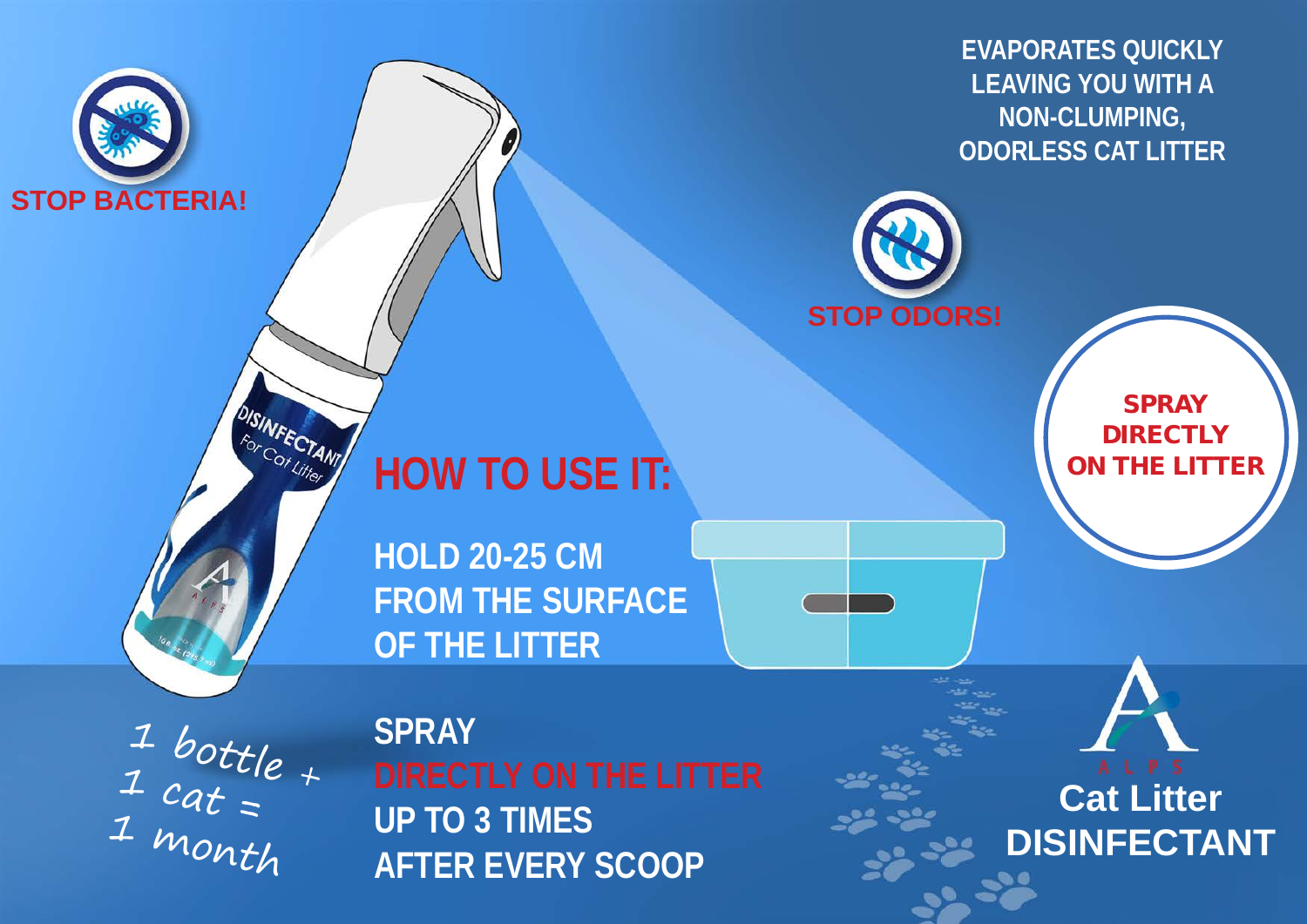**EVAPORATES QUICKLY LEAVING YOU WITH A NON-CLUMPING, ODORLESS CAT LITTER**



### **HOW TO USE IT:**

**HOLD 20-25 CM FROM THE SURFACE OF THE LITTER**

 $\frac{1}{1}$  bottle  $_{+}$  $\frac{1}{1}$  cat = 1 month

**DISINFECTANT** 

**STOP BACTERIA!** 

**SPRAY UP TO 3 TIMES AFTER EVERY SCOOP**

**SPRAY DIRECTLY** ON THE LITTER

**Cat Litter**

**DISINFECTANT**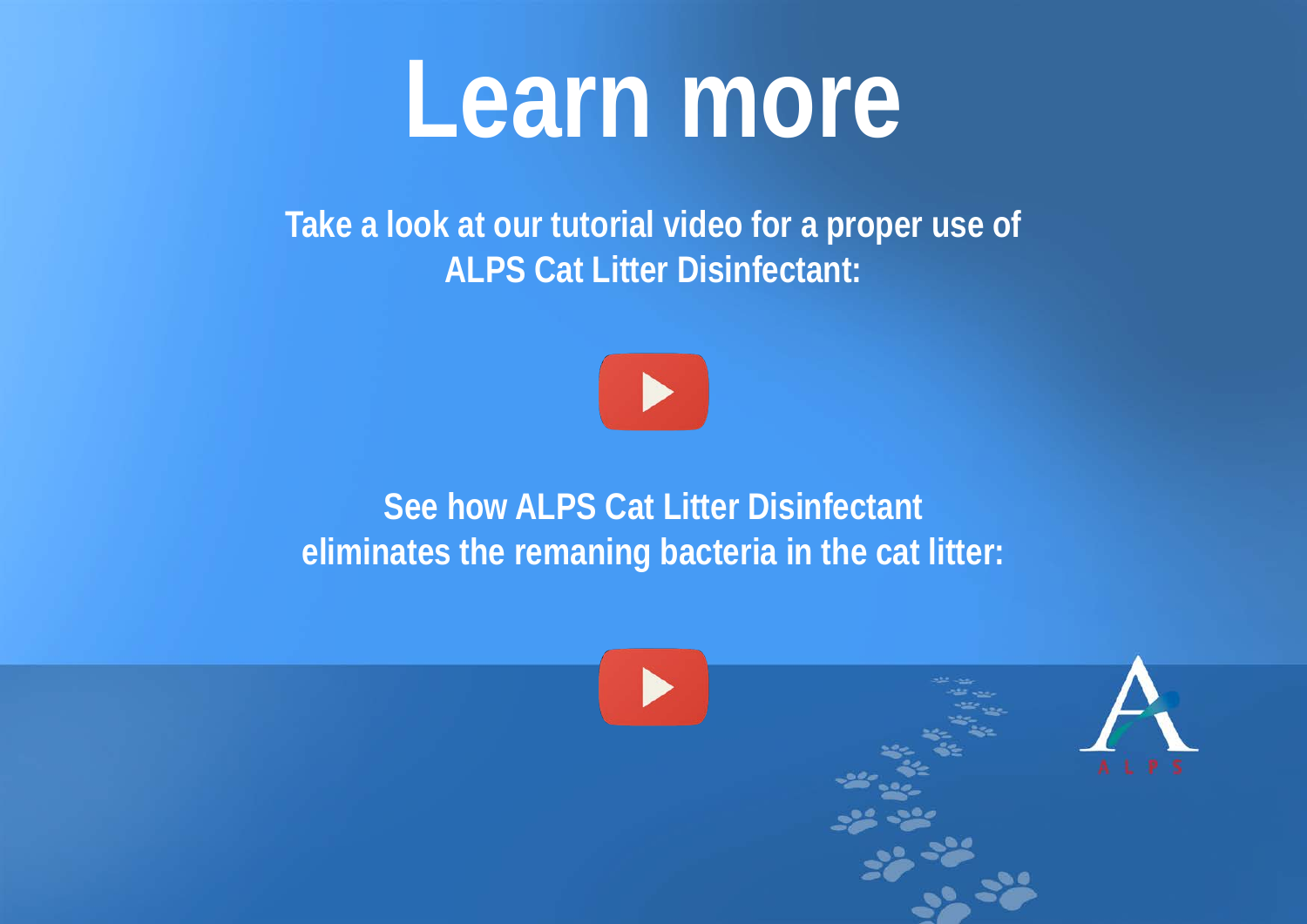## **Learn more**

**Take a look at our tutorial video for a proper use of ALPS Cat Litter Disinfectant:**



#### **See how ALPS Cat Litter Disinfectant eliminates the remaning bacteria in the cat litter:**